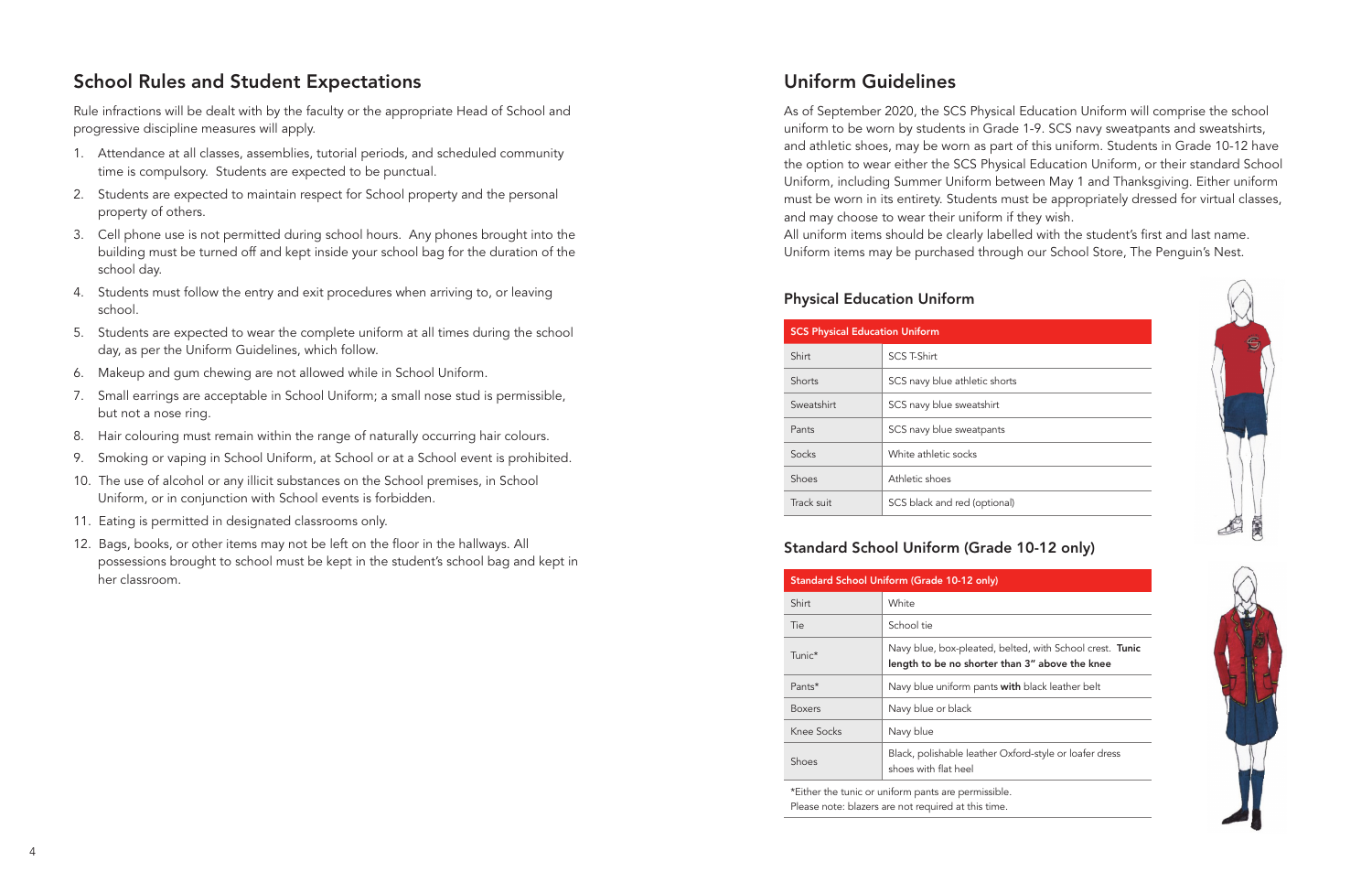## Uniform Guidelines

As of September 2020, the SCS Physical Education Uniform will comprise the school uniform to be worn by students in Grade 1-9. SCS navy sweatpants and sweatshirts, and athletic shoes, may be worn as part of this uniform. Students in Grade 10-12 have the option to wear either the SCS Physical Education Uniform, or their standard School Uniform, including Summer Uniform between May 1 and Thanksgiving. Either uniform must be worn in its entirety. Students must be appropriately dressed for virtual classes, and may choose to wear their uniform if they wish.

All uniform items should be clearly labelled with the student's first and last name. Uniform items may be purchased through our School Store, The Penguin's Nest.

| <b>SCS Physical Education Uniform</b> |                               |  |
|---------------------------------------|-------------------------------|--|
| Shirt                                 | SCS T-Shirt                   |  |
| Shorts                                | SCS navy blue athletic shorts |  |
| Sweatshirt                            | SCS navy blue sweatshirt      |  |
| Pants                                 | SCS navy blue sweatpants      |  |
| Socks                                 | White athletic socks          |  |
| Shoes                                 | Athletic shoes                |  |
| Track suit                            | SCS black and red (optional)  |  |

## Physical Education Uniform



## Standard School Uniform (Grade 10-12 only)

| Standard School Uniform (Grade 10-12 only) |                                                                                                            |  |
|--------------------------------------------|------------------------------------------------------------------------------------------------------------|--|
| Shirt                                      | White                                                                                                      |  |
| Tie                                        | School tie                                                                                                 |  |
| Tunic*                                     | Navy blue, box-pleated, belted, with School crest. Tunic<br>length to be no shorter than 3" above the knee |  |
| Pants*                                     | Navy blue uniform pants with black leather belt                                                            |  |
| <b>Boxers</b>                              | Navy blue or black                                                                                         |  |
| Knee Socks                                 | Navy blue                                                                                                  |  |
| Shoes                                      | Black, polishable leather Oxford-style or loafer dress<br>shoes with flat heel                             |  |

\*Either the tunic or uniform pants are permissible. Please note: blazers are not required at this time.